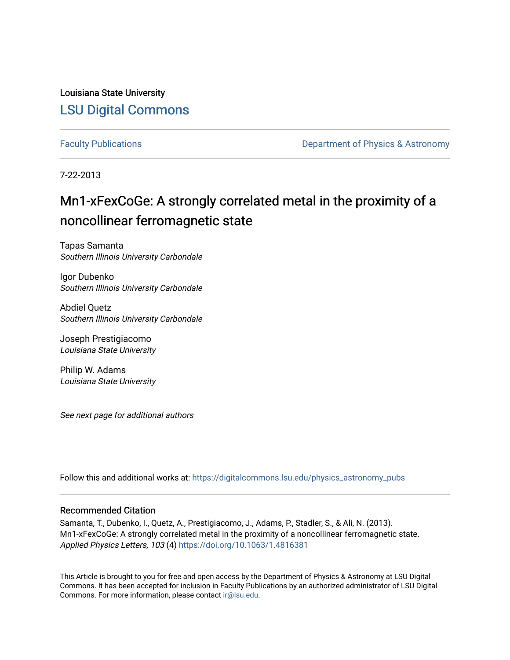Louisiana State University [LSU Digital Commons](https://digitalcommons.lsu.edu/)

[Faculty Publications](https://digitalcommons.lsu.edu/physics_astronomy_pubs) **Exercise 2 and Table 2 and Table 2 and Table 2 and Table 2 and Table 2 and Table 2 and Table 2 and Table 2 and Table 2 and Table 2 and Table 2 and Table 2 and Table 2 and Table 2 and Table 2 and Table** 

7-22-2013

# Mn1-xFexCoGe: A strongly correlated metal in the proximity of a noncollinear ferromagnetic state

Tapas Samanta Southern Illinois University Carbondale

Igor Dubenko Southern Illinois University Carbondale

Abdiel Quetz Southern Illinois University Carbondale

Joseph Prestigiacomo Louisiana State University

Philip W. Adams Louisiana State University

See next page for additional authors

Follow this and additional works at: [https://digitalcommons.lsu.edu/physics\\_astronomy\\_pubs](https://digitalcommons.lsu.edu/physics_astronomy_pubs?utm_source=digitalcommons.lsu.edu%2Fphysics_astronomy_pubs%2F70&utm_medium=PDF&utm_campaign=PDFCoverPages) 

## Recommended Citation

Samanta, T., Dubenko, I., Quetz, A., Prestigiacomo, J., Adams, P., Stadler, S., & Ali, N. (2013). Mn1-xFexCoGe: A strongly correlated metal in the proximity of a noncollinear ferromagnetic state. Applied Physics Letters, 103 (4) <https://doi.org/10.1063/1.4816381>

This Article is brought to you for free and open access by the Department of Physics & Astronomy at LSU Digital Commons. It has been accepted for inclusion in Faculty Publications by an authorized administrator of LSU Digital Commons. For more information, please contact [ir@lsu.edu](mailto:ir@lsu.edu).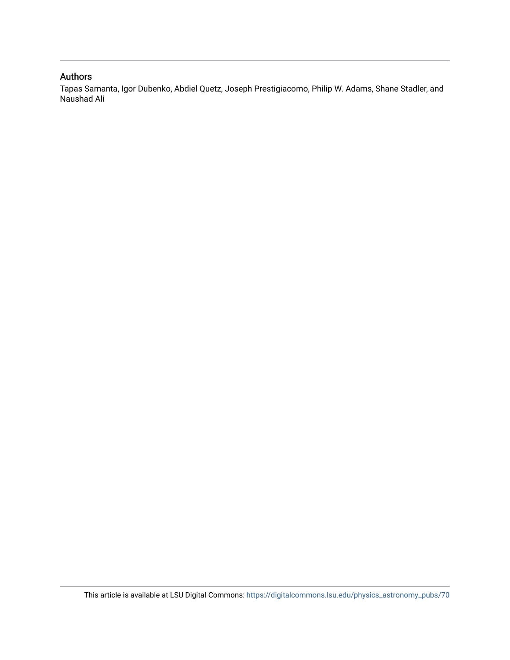## Authors

Tapas Samanta, Igor Dubenko, Abdiel Quetz, Joseph Prestigiacomo, Philip W. Adams, Shane Stadler, and Naushad Ali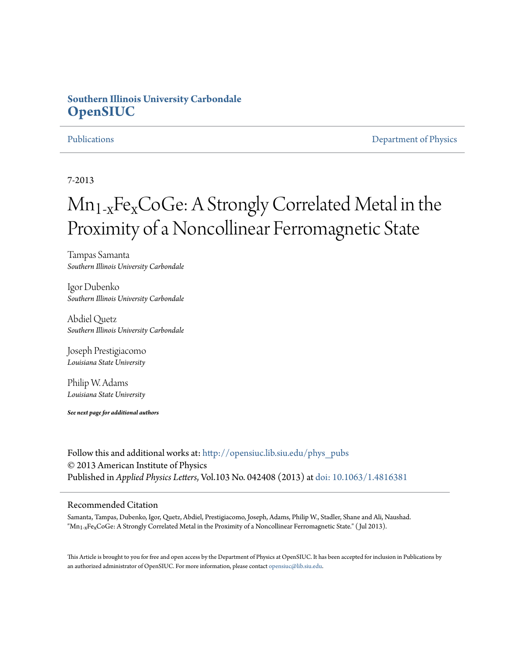## **Southern Illinois University Carbondale [OpenSIUC](http://opensiuc.lib.siu.edu?utm_source=opensiuc.lib.siu.edu%2Fphys_pubs%2F69&utm_medium=PDF&utm_campaign=PDFCoverPages)**

[Publications](http://opensiuc.lib.siu.edu/phys_pubs?utm_source=opensiuc.lib.siu.edu%2Fphys_pubs%2F69&utm_medium=PDF&utm_campaign=PDFCoverPages) [Department of Physics](http://opensiuc.lib.siu.edu/phys?utm_source=opensiuc.lib.siu.edu%2Fphys_pubs%2F69&utm_medium=PDF&utm_campaign=PDFCoverPages)

7-2013

# $Mn_{1-x}Fe_XCoGe$ : A Strongly Correlated Metal in the Proximity of a Noncollinear Ferromagnetic State

Tampas Samanta *Southern Illinois University Carbondale*

Igor Dubenko *Southern Illinois University Carbondale*

Abdiel Quetz *Southern Illinois University Carbondale*

Joseph Prestigiacomo *Louisiana State University*

Philip W. Adams *Louisiana State University*

*See next page for additional authors*

Follow this and additional works at: [http://opensiuc.lib.siu.edu/phys\\_pubs](http://opensiuc.lib.siu.edu/phys_pubs?utm_source=opensiuc.lib.siu.edu%2Fphys_pubs%2F69&utm_medium=PDF&utm_campaign=PDFCoverPages) © 2013 American Institute of Physics Published in *Applied Physics Letters*, Vol.103 No. 042408 (2013) at [doi: 10.1063/1.4816381](http://dx.doi.org/10.1063/1.4816381)

### Recommended Citation

Samanta, Tampas, Dubenko, Igor, Quetz, Abdiel, Prestigiacomo, Joseph, Adams, Philip W., Stadler, Shane and Ali, Naushad. " $Mn_{1-x}Fe_xCoGe$ : A Strongly Correlated Metal in the Proximity of a Noncollinear Ferromagnetic State." (Jul 2013).

This Article is brought to you for free and open access by the Department of Physics at OpenSIUC. It has been accepted for inclusion in Publications by an authorized administrator of OpenSIUC. For more information, please contact [opensiuc@lib.siu.edu.](mailto:opensiuc@lib.siu.edu)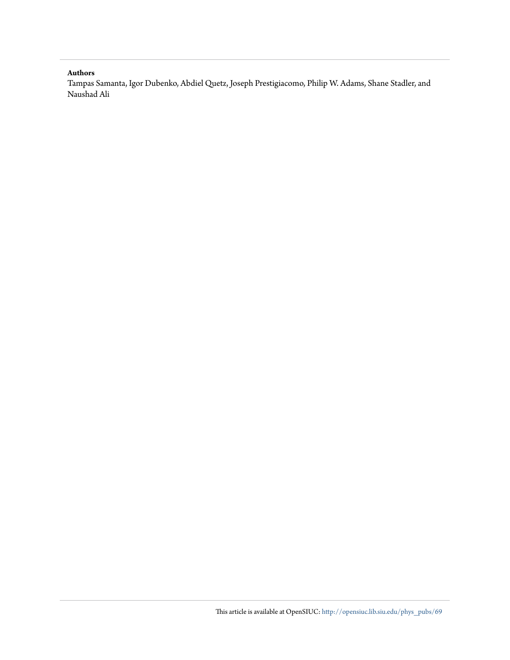### **Authors**

Tampas Samanta, Igor Dubenko, Abdiel Quetz, Joseph Prestigiacomo, Philip W. Adams, Shane Stadler, and Naushad Ali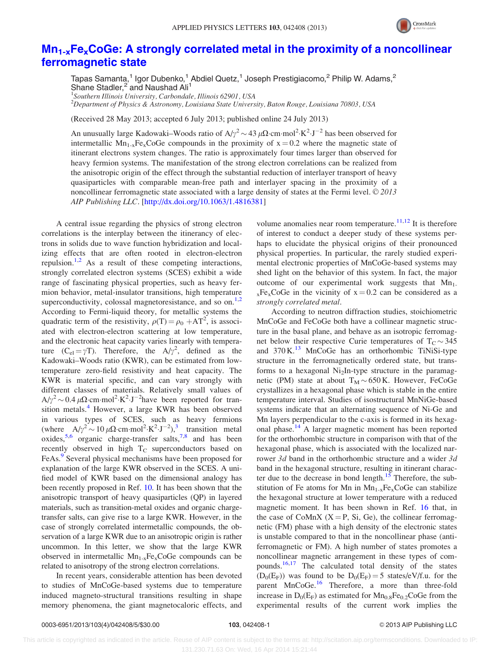

## $Mn_{1-x}Fe_xCoGe$ : A strongly correlated metal in the proximity of a noncollinear [ferromagnetic state](http://dx.doi.org/10.1063/1.4816381)

Tapas Samanta,<sup>1</sup> Igor Dubenko,<sup>1</sup> Abdiel Quetz,<sup>1</sup> Joseph Prestigiacomo,<sup>2</sup> Philip W. Adams,<sup>2</sup> Shane Stadler,<sup>2</sup> and Naushad Ali<sup>1</sup>

<sup>1</sup>Southern Illinois University, Carbondale, Illinois 62901, USA

 $^{2}$ Department of Physics & Astronomy, Louisiana State University, Baton Rouge, Louisiana 70803, USA

(Received 28 May 2013; accepted 6 July 2013; published online 24 July 2013)

An unusually large Kadowaki–Woods ratio of A/ $\gamma^2$  ~ 43  $\mu\Omega$ ·cm·mol<sup>2</sup>·K<sup>2</sup>·J<sup>-2</sup> has been observed for intermetallic  $Mn_{1-x}Fe<sub>x</sub>CoGe$  compounds in the proximity of  $x = 0.2$  where the magnetic state of itinerant electrons system changes. The ratio is approximately four times larger than observed for heavy fermion systems. The manifestation of the strong electron correlations can be realized from the anisotropic origin of the effect through the substantial reduction of interlayer transport of heavy quasiparticles with comparable mean-free path and interlayer spacing in the proximity of a noncollinear ferromagnetic state associated with a large density of states at the Fermi level.  $\odot$  2013 AIP Publishing LLC. [\[http://dx.doi.org/10.1063/1.4816381](http://dx.doi.org/10.1063/1.4816381)]

A central issue regarding the physics of strong electron correlations is the interplay between the itinerancy of electrons in solids due to wave function hybridization and localizing effects that are often rooted in electron-electron repulsion.<sup>[1,2](#page-7-0)</sup> As a result of these competing interactions, strongly correlated electron systems (SCES) exhibit a wide range of fascinating physical properties, such as heavy fermion behavior, metal-insulator transitions, high temperature superconductivity, colossal magnetoresistance, and so on. $1,2$ According to Fermi-liquid theory, for metallic systems the quadratic term of the resistivity,  $\rho(T) = \rho_0 + AT^2$ , is associated with electron-electron scattering at low temperature, and the electronic heat capacity varies linearly with temperature  $(C_{el} = \gamma T)$ . Therefore, the  $A/\gamma^2$ , defined as the Kadowaki–Woods ratio (KWR), can be estimated from lowtemperature zero-field resistivity and heat capacity. The KWR is material specific, and can vary strongly with different classes of materials. Relatively small values of  $A/\gamma^2 \sim 0.4 \ \mu\Omega\cdot\text{cm} \cdot \text{mol}^2 \cdot \text{K}^2 \cdot \text{J}^{-2}$  have been reported for tran-sition metals.<sup>[4](#page-7-0)</sup> However, a large KWR has been observed in various types of SCES, such as heavy fermions (where  $A/\gamma^2 \sim 10 \,\mu\Omega\cdot\text{cm} \cdot \text{mol}^2 \cdot \text{K}^2 \cdot \text{J}^{-2}$ ),<sup>[3](#page-7-0)</sup> transition metal oxides,<sup>[5](#page-7-0)[,6](#page-8-0)</sup> organic charge-transfer salts,<sup>[7,8](#page-8-0)</sup> and has been recently observed in high  $T_c$  superconductors based on FeAs.<sup>[9](#page-8-0)</sup> Several physical mechanisms have been proposed for explanation of the large KWR observed in the SCES. A unified model of KWR based on the dimensional analogy has been recently proposed in Ref. [10](#page-8-0). It has been shown that the anisotropic transport of heavy quasiparticles (QP) in layered materials, such as transition-metal oxides and organic chargetransfer salts, can give rise to a large KWR. However, in the case of strongly correlated intermetallic compounds, the observation of a large KWR due to an anisotropic origin is rather uncommon. In this letter, we show that the large KWR observed in intermetallic  $Mn_{1-x}Fe_xCoGe$  compounds can be related to anisotropy of the strong electron correlations.

In recent years, considerable attention has been devoted to studies of MnCoGe-based systems due to temperature induced magneto-structural transitions resulting in shape memory phenomena, the giant magnetocaloric effects, and volume anomalies near room temperature.<sup>[11,12](#page-8-0)</sup> It is therefore of interest to conduct a deeper study of these systems perhaps to elucidate the physical origins of their pronounced physical properties. In particular, the rarely studied experimental electronic properties of MnCoGe-based systems may shed light on the behavior of this system. In fact, the major outcome of our experimental work suggests that  $Mn_1$ .  $_{x}Fe_{x}CoGe$  in the vicinity of  $x = 0.2$  can be considered as a strongly correlated metal.

According to neutron diffraction studies, stoichiometric MnCoGe and FeCoGe both have a collinear magnetic structure in the basal plane, and behave as an isotropic ferromagnet below their respective Curie temperatures of  $T_C \sim 345$ and  $370 \text{ K}$ .<sup>[13](#page-8-0)</sup> MnCoGe has an orthorhombic TiNiSi-type structure in the ferromagnetically ordered state, but transforms to a hexagonal  $Ni<sub>2</sub>$ In-type structure in the paramagnetic (PM) state at about  $T_M \sim 650 \text{ K}$ . However, FeCoGe crystallizes in a hexagonal phase which is stable in the entire temperature interval. Studies of isostructural MnNiGe-based systems indicate that an alternating sequence of Ni-Ge and Mn layers perpendicular to the c-axis is formed in its hexag-onal phase.<sup>[14](#page-8-0)</sup> A larger magnetic moment has been reported for the orthorhombic structure in comparison with that of the hexagonal phase, which is associated with the localized narrower 3d band in the orthorhombic structure and a wider 3d band in the hexagonal structure, resulting in itinerant character due to the decrease in bond length. $15$  Therefore, the substitution of Fe atoms for Mn in  $Mn_{1-x}Fe_xCoGe$  can stabilize the hexagonal structure at lower temperature with a reduced magnetic moment. It has been shown in Ref. [16](#page-8-0) that, in the case of CoMnX  $(X = P, Si, Ge)$ , the collinear ferromagnetic (FM) phase with a high density of the electronic states is unstable compared to that in the noncollinear phase (antiferromagnetic or FM). A high number of states promotes a noncollinear magnetic arrangement in these types of compounds.<sup>16,17</sup> The calculated total density of the states  $(D_0(E_F))$  was found to be  $D_0(E_F) = 5$  states/eV/f.u. for the parent MnCoGe.<sup>[16](#page-8-0)</sup> Therefore, a more than three-fold increase in  $D_0(E_F)$  as estimated for  $Mn_{0.8}Fe_{0.2}CoGe$  from the experimental results of the current work implies the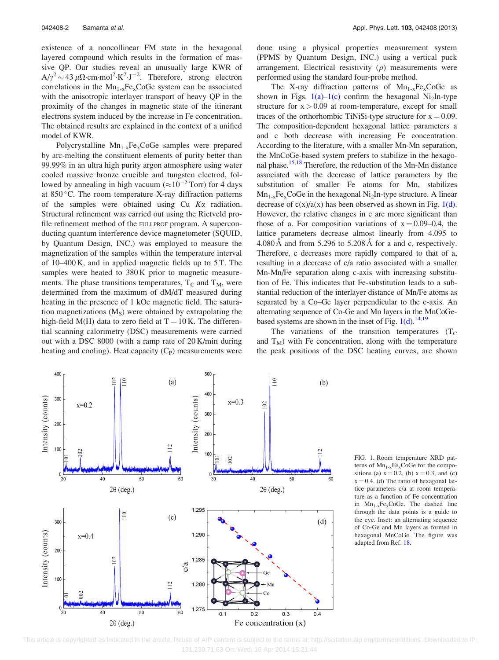existence of a noncollinear FM state in the hexagonal layered compound which results in the formation of massive QP. Our studies reveal an unusually large KWR of  $A/\gamma^2 \sim 43 \,\mu\Omega \cdot \text{cm} \cdot \text{mol}^2 \cdot \text{K}^2 \cdot \text{J}^{-2}$ . Therefore, strong electron correlations in the  $Mn_{1-x}Fe_xCoGe$  system can be associated with the anisotropic interlayer transport of heavy QP in the proximity of the changes in magnetic state of the itinerant electrons system induced by the increase in Fe concentration. The obtained results are explained in the context of a unified model of KWR.

Polycrystalline  $Mn_{1-x}Fe_xCoGe$  samples were prepared by arc-melting the constituent elements of purity better than 99.99% in an ultra high purity argon atmosphere using water cooled massive bronze crucible and tungsten electrod, followed by annealing in high vacuum ( $\approx 10^{-5}$  Torr) for 4 days at  $850^{\circ}$ C. The room temperature X-ray diffraction patterns of the samples were obtained using  $Cu$   $K\alpha$  radiation. Structural refinement was carried out using the Rietveld profile refinement method of the FULLPROF program. A superconducting quantum interference device magnetometer (SQUID, by Quantum Design, INC.) was employed to measure the magnetization of the samples within the temperature interval of 10–400 K, and in applied magnetic fields up to 5 T. The samples were heated to 380 K prior to magnetic measurements. The phase transitions temperatures,  $T_c$  and  $T_M$ , were determined from the maximum of dM/dT measured during heating in the presence of 1 kOe magnetic field. The saturation magnetizations  $(M<sub>s</sub>)$  were obtained by extrapolating the high-field M(H) data to zero field at  $T = 10$  K. The differential scanning calorimetry (DSC) measurements were carried out with a DSC 8000 (with a ramp rate of 20 K/min during heating and cooling). Heat capacity  $(C_P)$  measurements were done using a physical properties measurement system (PPMS by Quantum Design, INC.) using a vertical puck arrangement. Electrical resistivity  $(\rho)$  measurements were performed using the standard four-probe method.

The X-ray diffraction patterns of  $Mn_{1-x}Fe_{x}CoGe$  as shown in Figs.  $1(a)-1(c)$  confirm the hexagonal Ni<sub>2</sub>In-type structure for  $x > 0.09$  at room-temperature, except for small traces of the orthorhombic TiNiSi-type structure for  $x = 0.09$ . The composition-dependent hexagonal lattice parameters a and c both decrease with increasing Fe concentration. According to the literature, with a smaller Mn-Mn separation, the MnCoGe-based system prefers to stabilize in the hexagonal phase.<sup>15,18</sup> Therefore, the reduction of the Mn-Mn distance associated with the decrease of lattice parameters by the substitution of smaller Fe atoms for Mn, stabilizes  $Mn_{1-x}Fe_{x}CoGe$  in the hexagonal Ni<sub>2</sub>In-type structure. A linear decrease of  $c(x)/a(x)$  has been observed as shown in Fig. 1(d). However, the relative changes in c are more significant than those of a. For composition variations of  $x = 0.09-0.4$ , the lattice parameters decrease almost linearly from 4.095 to  $4.080 \text{ A}$  and from  $5.296$  to  $5.208 \text{ A}$  for a and c, respectively. Therefore, c decreases more rapidly compared to that of a, resulting in a decrease of c/a ratio associated with a smaller Mn-Mn/Fe separation along c-axis with increasing substitution of Fe. This indicates that Fe-substitution leads to a substantial reduction of the interlayer distance of Mn/Fe atoms as separated by a Co–Ge layer perpendicular to the c-axis. An alternating sequence of Co-Ge and Mn layers in the MnCoGebased systems are shown in the inset of Fig.  $1(d)$ .<sup>[14](#page-8-0),[19](#page-8-0)</sup>

The variations of the transition temperatures  $(T<sub>C</sub>)$ and  $T_M$ ) with Fe concentration, along with the temperature the peak positions of the DSC heating curves, are shown

FIG. 1. Room temperature XRD patterns of  $Mn_{1-x}Fe<sub>x</sub>CoGe$  for the compositions (a)  $x = 0.2$ , (b)  $x = 0.3$ , and (c)  $x = 0.4$ . (d) The ratio of hexagonal lattice parameters c/a at room temperature as a function of Fe concentration in  $Mn_{1-x}Fe<sub>x</sub>CoGe$ . The dashed line through the data points is a guide to the eye. Inset: an alternating sequence of Co-Ge and Mn layers as formed in hexagonal MnCoGe. The figure was adapted from Ref. [18.](#page-8-0)

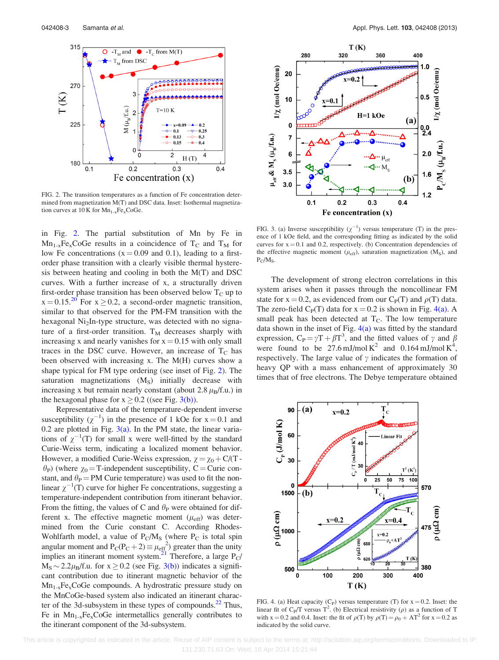<span id="page-6-0"></span>

FIG. 2. The transition temperatures as a function of Fe concentration determined from magnetization M(T) and DSC data. Inset: Isothermal magnetization curves at  $10 K$  for  $Mn_{1-x}Fe_xCoGe$ .

in Fig. 2. The partial substitution of Mn by Fe in  $Mn_{1-x}Fe_{x}CoGe$  results in a coincidence of T<sub>C</sub> and T<sub>M</sub> for low Fe concentrations  $(x = 0.09$  and 0.1), leading to a firstorder phase transition with a clearly visible thermal hysteresis between heating and cooling in both the M(T) and DSC curves. With a further increase of x, a structurally driven first-order phase transition has been observed below  $T_c$  up to  $x = 0.15^{20}$  $x = 0.15^{20}$  $x = 0.15^{20}$  For  $x \ge 0.2$ , a second-order magnetic transition, similar to that observed for the PM-FM transition with the hexagonal  $Ni<sub>2</sub>$ In-type structure, was detected with no signature of a first-order transition.  $T_M$  decreases sharply with increasing x and nearly vanishes for  $x = 0.15$  with only small traces in the DSC curve. However, an increase of  $T_c$  has been observed with increasing x. The M(H) curves show a shape typical for FM type ordering (see inset of Fig. 2). The saturation magnetizations  $(M<sub>S</sub>)$  initially decrease with increasing x but remain nearly constant (about 2.8  $\mu_B$ /f.u.) in the hexagonal phase for  $x \ge 0.2$  ((see Fig. 3(b)).

Representative data of the temperature-dependent inverse susceptibility  $(\chi^{-1})$  in the presence of 1 kOe for  $x = 0.1$  and 0.2 are plotted in Fig.  $3(a)$ . In the PM state, the linear variations of  $\chi^{-1}(T)$  for small x were well-fitted by the standard Curie-Weiss term, indicating a localized moment behavior. However, a modified Curie-Weiss expression,  $\chi = \chi_0 + C/(T - \chi_0)$  $\theta_P$ ) (where  $\chi_0$  = T-independent susceptibility, C = Curie constant, and  $\theta_P$  = PM Curie temperature) was used to fit the nonlinear  $\chi^{-1}(T)$  curve for higher Fe concentrations, suggesting a temperature-independent contribution from itinerant behavior. From the fitting, the values of C and  $\theta_P$  were obtained for different x. The effective magnetic moment  $(\mu_{\text{eff}})$  was determined from the Curie constant C. According Rhodes-Wohlfarth model, a value of  $P_C/M_S$  (where  $P_C$  is total spin angular moment and  $P_C(P_C+2) \equiv \mu_{eff}^2$  greater than the unity implies an itinerant moment system.<sup>[21](#page-8-0)</sup> Therefore, a large  $P_C$ /  $M_S \sim 2.2 \mu_B/f.u.$  for  $x \ge 0.2$  (see Fig. 3(b)) indicates a significant contribution due to itinerant magnetic behavior of the  $Mn_{1-x}Fe_{x}CoGe$  compounds. A hydrostratic pressure study on the MnCoGe-based system also indicated an itinerant character of the 3d-subsystem in these types of compounds. $^{22}$  Thus, Fe in  $Mn_{1-x}Fe_xCoGe$  intermetallics generally contributes to the itinerant component of the 3d-subsystem.



FIG. 3. (a) Inverse susceptibility  $(\chi^{-1})$  versus temperature (T) in the presence of 1 kOe field, and the corresponding fitting as indicated by the solid curves for  $x = 0.1$  and 0.2, respectively. (b) Concentration dependencies of the effective magnetic moment ( $\mu_{\text{eff}}$ ), saturation magnetization (M<sub>S</sub>), and  $P_C/M_S$ .

The development of strong electron correlations in this system arises when it passes through the noncollinear FM state for  $x = 0.2$ , as evidenced from our C<sub>P</sub>(T) and  $\rho(T)$  data. The zero-field  $C_P(T)$  data for  $x = 0.2$  is shown in Fig. 4(a). A small peak has been detected at  $T<sub>C</sub>$ . The low temperature data shown in the inset of Fig.  $4(a)$  was fitted by the standard expression,  $C_P = \gamma T + \beta T^3$ , and the fitted values of  $\gamma$  and  $\beta$ were found to be  $27.6 \text{ mJ/mol K}^2$  and  $0.164 \text{ mJ/mol K}^4$ , respectively. The large value of  $\gamma$  indicates the formation of heavy QP with a mass enhancement of approximately 30 times that of free electrons. The Debye temperature obtained



FIG. 4. (a) Heat capacity (C<sub>P</sub>) versus temperature (T) for  $x = 0.2$ . Inset: the linear fit of C<sub>P</sub>/T versus T<sup>2</sup>. (b) Electrical resistivity ( $\rho$ ) as a function of T with x = 0.2 and 0.4. Inset: the fit of  $\rho(T)$  by  $\rho(T) = \rho_0 + AT^2$  for x = 0.2 as indicated by the solid curve.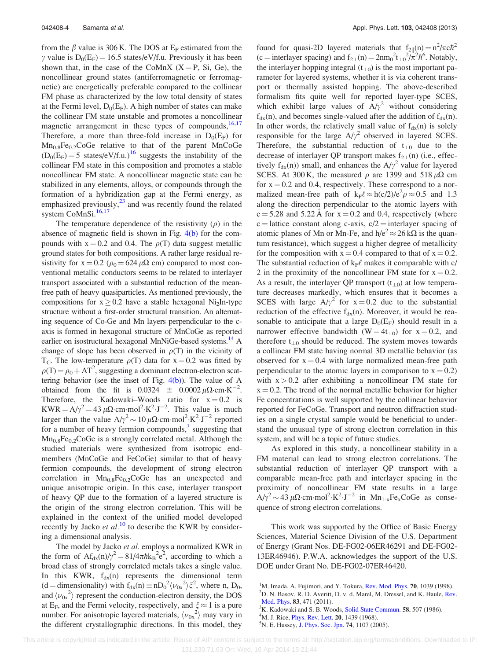<span id="page-7-0"></span>from the  $\beta$  value is 306 K. The DOS at E<sub>F</sub> estimated from the  $\gamma$  value is  $D_0(E_F) = 16.5$  states/eV/f.u. Previously it has been shown that, in the case of the CoMnX  $(X = P, Si, Ge)$ , the noncollinear ground states (antiferromagnetic or ferromagnetic) are energetically preferable compared to the collinear FM phase as characterized by the low total density of states at the Fermi level,  $D_0(E_F)$ . A high number of states can make the collinear FM state unstable and promotes a noncollinear magnetic arrangement in these types of compounds, $16,17$ Therefore, a more than three-fold increase in  $D_0(E_F)$  for  $Mn_{0.8}Fe_{0.2}CoGe$  relative to that of the parent MnCoGe  $(D_0(E_F) = 5$  states/eV/f.u.)<sup>[16](#page-8-0)</sup> suggests the instability of the collinear FM state in this composition and promotes a stable noncollinear FM state. A noncollinear magnetic state can be stabilized in any elements, alloys, or compounds through the formation of a hybridization gap at the Fermi energy, as emphasized previously, $^{23}$  $^{23}$  $^{23}$  and was recently found the related system CoMnSi.<sup>[16,17](#page-8-0)</sup>

The temperature dependence of the resistivity  $(\rho)$  in the absence of magnetic field is shown in Fig.  $4(b)$  for the compounds with  $x = 0.2$  and 0.4. The  $\rho(T)$  data suggest metallic ground states for both compositions. A rather large residual resistivity for  $x = 0.2$  ( $\rho_0 = 624 \mu\Omega$  cm) compared to most conventional metallic conductors seems to be related to interlayer transport associated with a substantial reduction of the meanfree path of heavy quasiparticles. As mentioned previously, the compositions for  $x \ge 0.2$  have a stable hexagonal Ni<sub>2</sub>In-type structure without a first-order structural transition. An alternating sequence of Co-Ge and Mn layers perpendicular to the caxis is formed in hexagonal structure of MnCoGe as reported earlier on isostructural hexagonal MnNiGe-based systems.<sup>[14](#page-8-0)</sup> A change of slope has been observed in  $\rho(T)$  in the vicinity of T<sub>C</sub>. The low-temperature  $\rho(T)$  data for x = 0.2 was fitted by  $\rho(T) = \rho_0 + AT^2$ , suggesting a dominant electron-electron scattering behavior (see the inset of Fig.  $4(b)$ ). The value of A obtained from the fit is  $0.0324 \pm 0.0002 \mu \Omega \cdot \text{cm} \cdot \text{K}^{-2}$ . Therefore, the Kadowaki–Woods ratio for  $x = 0.2$  is  $KWR = A/\gamma^2 = 43 \mu\Omega \cdot cm \cdot mol^2 \cdot K^2 \cdot J^{-2}$ . This value is much larger than the value  $A/\gamma^2 \sim 10 \,\mu\Omega\text{ cm} \cdot \text{mol}^2 \cdot \text{K}^2 \cdot \text{J}^{-2}$  reported for a number of heavy fermion compounds, $3$  suggesting that  $Mn_{0.8}Fe_{0.2}CoGe$  is a strongly correlated metal. Although the studied materials were synthesized from isotropic endmembers (MnCoGe and FeCoGe) similar to that of heavy fermion compounds, the development of strong electron correlation in  $Mn_{0.8}Fe<sub>0.2</sub>CoGe$  has an unexpected and unique anisotropic origin. In this case, interlayer transport of heavy QP due to the formation of a layered structure is the origin of the strong electron correlation. This will be explained in the context of the unified model developed recently by Jacko et  $al$ .<sup>[10](#page-8-0)</sup> to describe the KWR by considering a dimensional analysis.

The model by Jacko et al. employs a normalized KWR in the form of  $Af_{dx}(n)/\gamma^2 = 81/4\pi\hbar k_B^2 e^2$ , according to which a broad class of strongly correlated metals takes a single value. In this KWR,  $f_{dx}(n)$  represents the dimensional term  $(d =$  dimensionality) with  $f_{dx}(n) \equiv nD_0^2 \langle \nu_{0x}^2 \rangle \xi^2$ , where n, D<sub>0</sub>, and  $\langle \nu_{0x}^2 \rangle$  represent the conduction-electron density, the DOS at E<sub>F</sub>, and the Fermi velocity, respectively, and  $\xi \approx 1$  is a pure number. For anisotropic layered materials,  $\langle \nu_{0x}^2 \rangle$  may vary in the different crystallographic directions. In this model, they

found for quasi-2D layered materials that  $f_{2\parallel}(n) = n^2/\pi c \hbar^2$ (c = interlayer spacing) and  $f_{2\perp}(n) = 2n m_0^2 t_{\perp 0}^2 / \pi^2 \hbar^6$ . Notably, the interlayer hopping integral  $(t_{\perp 0})$  is the most important parameter for layered systems, whether it is via coherent transport or thermally assisted hopping. The above-described formalism fits quite well for reported layer-type SCES, which exhibit large values of  $A/\gamma^2$  without considering  $f_{dx}(n)$ , and becomes single-valued after the addition of  $f_{dx}(n)$ . In other words, the relatively small value of  $f_{dx}(n)$  is solely responsible for the large  $A/\gamma^2$  observed in layered SCES. Therefore, the substantial reduction of  $t_{\perp 0}$  due to the decrease of interlayer QP transport makes  $f_{2\perp}(n)$  (i.e., effectively  $f_{dx}(n)$ ) small, and enhances the  $A/\gamma^2$  value for layered SCES. At 300 K, the measured  $\rho$  are 1399 and 518  $\mu\Omega$  cm for  $x = 0.2$  and 0.4, respectively. These correspond to a normalized mean-free path of  $k_F \ell \approx h(c/2)/e^2 \rho \approx 0.5$  and 1.3 along the direction perpendicular to the atomic layers with  $c = 5.28$  and  $5.22 \text{ Å}$  for  $x = 0.2$  and 0.4, respectively (where c = lattice constant along c-axis,  $c/2$  = interlayer spacing of atomic planes of Mn or Mn-Fe, and  $h/e^2 \approx 26 k\Omega$  is the quantum resistance), which suggest a higher degree of metallicity for the composition with  $x = 0.4$  compared to that of  $x = 0.2$ . The substantial reduction of  $k_F \ell$  makes it comparable with c/ 2 in the proximity of the noncollinear FM state for  $x = 0.2$ . As a result, the interlayer QP transport  $(t_{\perp 0})$  at low temperature decreases markedly, which ensures that it becomes a SCES with large  $A/\gamma^2$  for  $x = 0.2$  due to the substantial reduction of the effective  $f_{dx}(n)$ . Moreover, it would be reasonable to anticipate that a large  $D_0(E_F)$  should result in a narrower effective bandwidth (W = 4t<sub>+0</sub>) for  $x = 0.2$ , and therefore  $t_{\perp 0}$  should be reduced. The system moves towards a collinear FM state having normal 3D metallic behavior (as observed for  $x = 0.4$  with large normalized mean-free path perpendicular to the atomic layers in comparison to  $x = 0.2$ ) with  $x > 0.2$  after exhibiting a noncollinear FM state for  $x = 0.2$ . The trend of the normal metallic behavior for higher Fe concentrations is well supported by the collinear behavior reported for FeCoGe. Transport and neutron diffraction studies on a single crystal sample would be beneficial to understand the unusual type of strong electron correlation in this system, and will be a topic of future studies.

As explored in this study, a noncollinear stability in a FM material can lead to strong electron correlations. The substantial reduction of interlayer QP transport with a comparable mean-free path and interlayer spacing in the proximity of noncollinear FM state results in a large  $A/\gamma^2 \sim 43 \,\mu\Omega \cdot \text{cm} \cdot \text{mol}^2 \cdot \text{K}^2 \cdot \text{J}^{-2}$  in  $Mn_{1-x}\text{Fe}_x\text{CoGe}$  as consequence of strong electron correlations.

This work was supported by the Office of Basic Energy Sciences, Material Science Division of the U.S. Department of Energy (Grant Nos. DE-FG02-06ER46291 and DE-FG02- 13ER46946). P.W.A. acknowledges the support of the U.S. DOE under Grant No. DE-FG02-07ER46420.

<sup>&</sup>lt;sup>1</sup>M. Imada, A. Fujimori, and Y. Tokura, [Rev. Mod. Phys.](http://dx.doi.org/10.1103/RevModPhys.70.1039) **70**, 1039 (1998).<br><sup>2</sup>D. N. Basov, P. D. Averitt, D. v. d. Marel, M. Dressel, and K. Haule, Per

 $^{2}$ D. N. Basov, R. D. Averitt, D. v. d. Marel, M. Dressel, and K. Haule, [Rev.](http://dx.doi.org/10.1103/RevModPhys.83.471) [Mod. Phys.](http://dx.doi.org/10.1103/RevModPhys.83.471) 83, 471 (2011).

 $K<sup>3</sup>K$ . Kadowaki and S. B. Woods, [Solid State Commun.](http://dx.doi.org/10.1016/0038-1098(86)90785-4) 58, 507 (1986).

 ${}^{4}$ M. J. Rice, *[Phys. Rev. Lett.](http://dx.doi.org/10.1103/PhysRevLett.20.1439)* 20, 1439 (1968).

<sup>&</sup>lt;sup>5</sup>N. E. Hussey, [J. Phys. Soc. Jpn.](http://dx.doi.org/10.1143/JPSJ.74.1107) **74**, 1107 (2005).